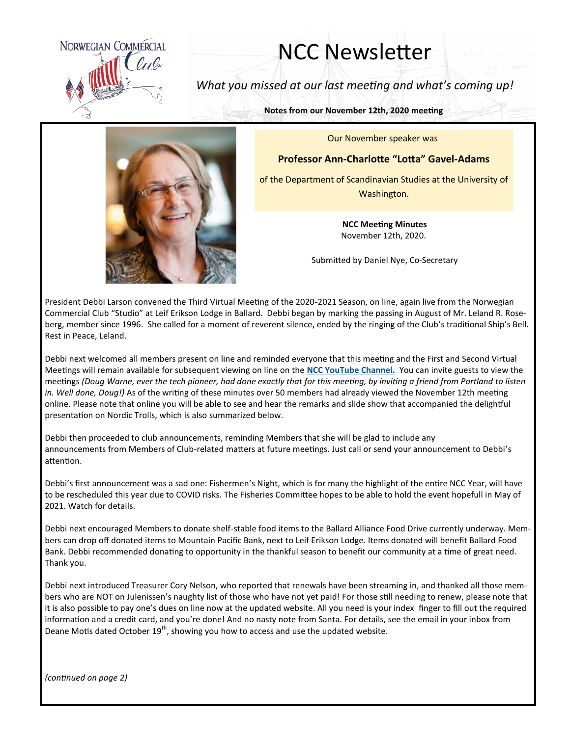

## NCC Newsletter

*What you missed at our last meeting and what's coming up!*

**Notes from our November 12th, 2020 meeting**

Our November speaker was

## **Professor Ann-Charlotte "Lotta" Gavel-Adams**

of the Department of Scandinavian Studies at the University of Washington.

> **NCC Meeting Minutes** November 12th, 2020.

Submitted by Daniel Nye, Co-Secretary

President Debbi Larson convened the Third Virtual Meeting of the 2020-2021 Season, on line, again live from the Norwegian Commercial Club "Studio" at Leif Erikson Lodge in Ballard. Debbi began by marking the passing in August of Mr. Leland R. Roseberg, member since 1996. She called for a moment of reverent silence, ended by the ringing of the Club's traditional Ship's Bell. Rest in Peace, Leland.

Debbi next welcomed all members present on line and reminded everyone that this meeting and the First and Second Virtual Meetings will remain available for subsequent viewing on line on the **[NCC YouTube Channel.](https://www.youtube.com/channel/UCEelG6C1AyX1HUfzpmBOuCQ)** You can invite guests to view the meetings *(Doug Warne, ever the tech pioneer, had done exactly that for this meeting, by inviting a friend from Portland to listen in. Well done, Doug!)* As of the writing of these minutes over 50 members had already viewed the November 12th meeting online. Please note that online you will be able to see and hear the remarks and slide show that accompanied the delightful presentation on Nordic Trolls, which is also summarized below.

Debbi then proceeded to club announcements, reminding Members that she will be glad to include any announcements from Members of Club-related matters at future meetings. Just call or send your announcement to Debbi's attention.

Debbi's first announcement was a sad one: Fishermen's Night, which is for many the highlight of the entire NCC Year, will have to be rescheduled this year due to COVID risks. The Fisheries Committee hopes to be able to hold the event hopefull in May of 2021. Watch for details.

Debbi next encouraged Members to donate shelf-stable food items to the Ballard Alliance Food Drive currently underway. Members can drop off donated items to Mountain Pacific Bank, next to Leif Erikson Lodge. Items donated will benefit Ballard Food Bank. Debbi recommended donating to opportunity in the thankful season to benefit our community at a time of great need. Thank you.

Debbi next introduced Treasurer Cory Nelson, who reported that renewals have been streaming in, and thanked all those members who are NOT on Julenissen's naughty list of those who have not yet paid! For those still needing to renew, please note that it is also possible to pay one's dues on line now at the updated website. All you need is your index finger to fill out the required information and a credit card, and you're done! And no nasty note from Santa. For details, see the email in your inbox from Deane Motis dated October  $19<sup>th</sup>$ , showing you how to access and use the updated website.

*(continued on page 2)*